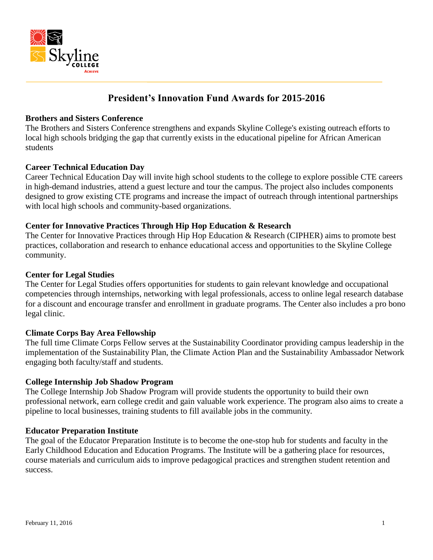

# **President's Innovation Fund Awards for 2015-2016**

## **Brothers and Sisters Conference**

The Brothers and Sisters Conference strengthens and expands Skyline College's existing outreach efforts to local high schools bridging the gap that currently exists in the educational pipeline for African American students

#### **Career Technical Education Day**

Career Technical Education Day will invite high school students to the college to explore possible CTE careers in high-demand industries, attend a guest lecture and tour the campus. The project also includes components designed to grow existing CTE programs and increase the impact of outreach through intentional partnerships with local high schools and community-based organizations.

# **Center for Innovative Practices Through Hip Hop Education & Research**

The Center for Innovative Practices through Hip Hop Education & Research (CIPHER) aims to promote best practices, collaboration and research to enhance educational access and opportunities to the Skyline College community.

#### **Center for Legal Studies**

The Center for Legal Studies offers opportunities for students to gain relevant knowledge and occupational competencies through internships, networking with legal professionals, access to online legal research database for a discount and encourage transfer and enrollment in graduate programs. The Center also includes a pro bono legal clinic.

#### **Climate Corps Bay Area Fellowship**

The full time Climate Corps Fellow serves at the Sustainability Coordinator providing campus leadership in the implementation of the Sustainability Plan, the Climate Action Plan and the Sustainability Ambassador Network engaging both faculty/staff and students.

#### **College Internship Job Shadow Program**

The College Internship Job Shadow Program will provide students the opportunity to build their own professional network, earn college credit and gain valuable work experience. The program also aims to create a pipeline to local businesses, training students to fill available jobs in the community.

#### **Educator Preparation Institute**

The goal of the Educator Preparation Institute is to become the one-stop hub for students and faculty in the Early Childhood Education and Education Programs. The Institute will be a gathering place for resources, course materials and curriculum aids to improve pedagogical practices and strengthen student retention and success.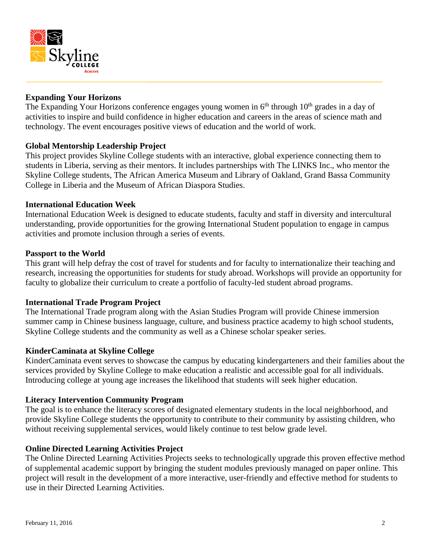

# **Expanding Your Horizons**

The Expanding Your Horizons conference engages young women in  $6<sup>th</sup>$  through  $10<sup>th</sup>$  grades in a day of activities to inspire and build confidence in higher education and careers in the areas of science math and technology. The event encourages positive views of education and the world of work.

# **Global Mentorship Leadership Project**

This project provides Skyline College students with an interactive, global experience connecting them to students in Liberia, serving as their mentors. It includes partnerships with The LINKS Inc., who mentor the Skyline College students, The African America Museum and Library of Oakland, Grand Bassa Community College in Liberia and the Museum of African Diaspora Studies.

#### **International Education Week**

International Education Week is designed to educate students, faculty and staff in diversity and intercultural understanding, provide opportunities for the growing International Student population to engage in campus activities and promote inclusion through a series of events.

#### **Passport to the World**

This grant will help defray the cost of travel for students and for faculty to internationalize their teaching and research, increasing the opportunities for students for study abroad. Workshops will provide an opportunity for faculty to globalize their curriculum to create a portfolio of faculty-led student abroad programs.

#### **International Trade Program Project**

The International Trade program along with the Asian Studies Program will provide Chinese immersion summer camp in Chinese business language, culture, and business practice academy to high school students, Skyline College students and the community as well as a Chinese scholar speaker series.

#### **KinderCaminata at Skyline College**

KinderCaminata event serves to showcase the campus by educating kindergarteners and their families about the services provided by Skyline College to make education a realistic and accessible goal for all individuals. Introducing college at young age increases the likelihood that students will seek higher education.

#### **Literacy Intervention Community Program**

The goal is to enhance the literacy scores of designated elementary students in the local neighborhood, and provide Skyline College students the opportunity to contribute to their community by assisting children, who without receiving supplemental services, would likely continue to test below grade level.

# **Online Directed Learning Activities Project**

The Online Directed Learning Activities Projects seeks to technologically upgrade this proven effective method of supplemental academic support by bringing the student modules previously managed on paper online. This project will result in the development of a more interactive, user-friendly and effective method for students to use in their Directed Learning Activities.